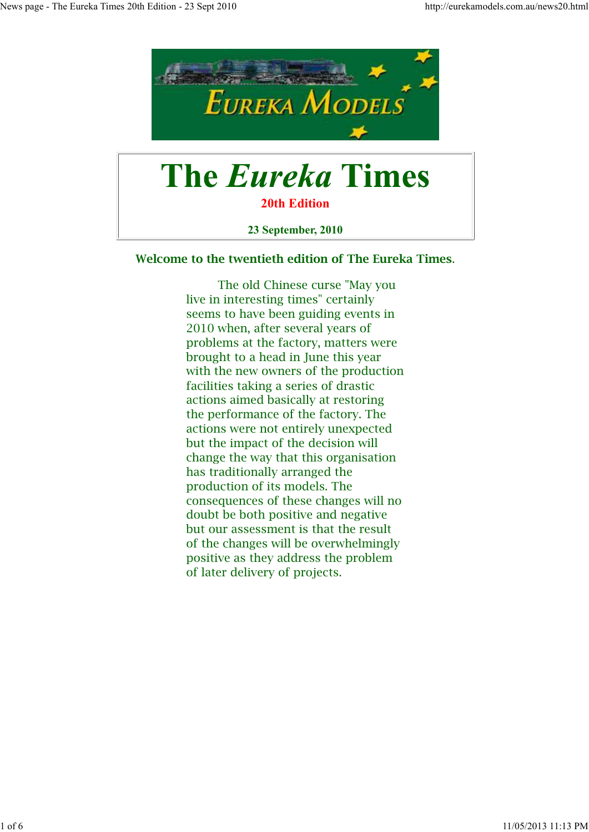

# **The Eureka Times**

**20th Edition**

**23 September, 2010**

**Welcome to the twentieth edition of The Eureka Times**.

 The old Chinese curse "May you live in interesting times" certainly seems to have been guiding events in 2010 when, after several years of problems at the factory, matters were brought to a head in June this year with the new owners of the production facilities taking a series of drastic actions aimed basically at restoring the performance of the factory. The actions were not entirely unexpected but the impact of the decision will change the way that this organisation has traditionally arranged the production of its models. The consequences of these changes will no doubt be both positive and negative but our assessment is that the result of the changes will be overwhelmingly positive as they address the problem of later delivery of projects.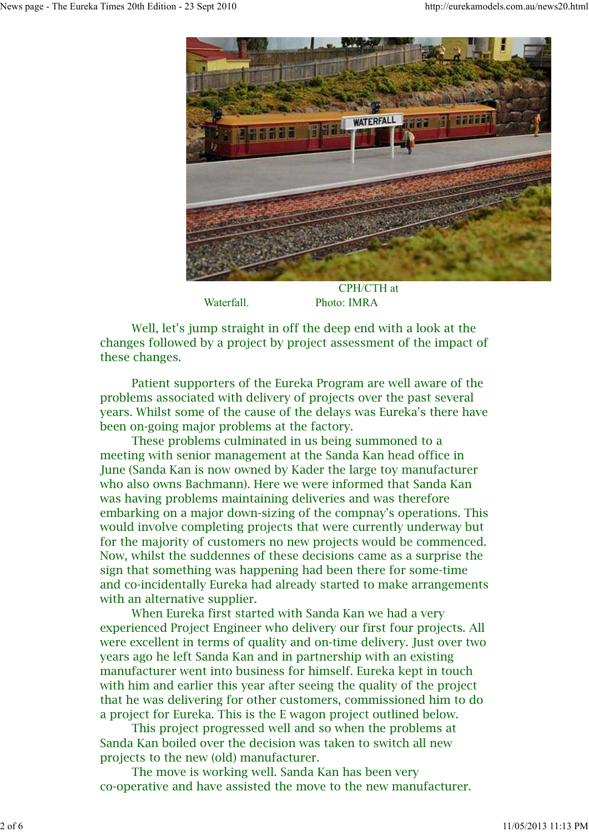

Waterfall. Photo: IMRA

 Well, let's jump straight in off the deep end with a look at the changes followed by a project by project assessment of the impact of these changes.

 Patient supporters of the Eureka Program are well aware of the problems associated with delivery of projects over the past several years. Whilst some of the cause of the delays was Eureka's there have been on-going major problems at the factory.

 These problems culminated in us being summoned to a meeting with senior management at the Sanda Kan head office in June (Sanda Kan is now owned by Kader the large toy manufacturer who also owns Bachmann). Here we were informed that Sanda Kan was having problems maintaining deliveries and was therefore embarking on a major down-sizing of the compnay's operations. This would involve completing projects that were currently underway but for the majority of customers no new projects would be commenced. Now, whilst the suddennes of these decisions came as a surprise the sign that something was happening had been there for some-time and co-incidentally Eureka had already started to make arrangements with an alternative supplier.

 When Eureka first started with Sanda Kan we had a very experienced Project Engineer who delivery our first four projects. All were excellent in terms of quality and on-time delivery. Just over two years ago he left Sanda Kan and in partnership with an existing manufacturer went into business for himself. Eureka kept in touch with him and earlier this year after seeing the quality of the project that he was delivering for other customers, commissioned him to do a project for Eureka. This is the E wagon project outlined below.

 This project progressed well and so when the problems at Sanda Kan boiled over the decision was taken to switch all new projects to the new (old) manufacturer.

 The move is working well. Sanda Kan has been very co-operative and have assisted the move to the new manufacturer.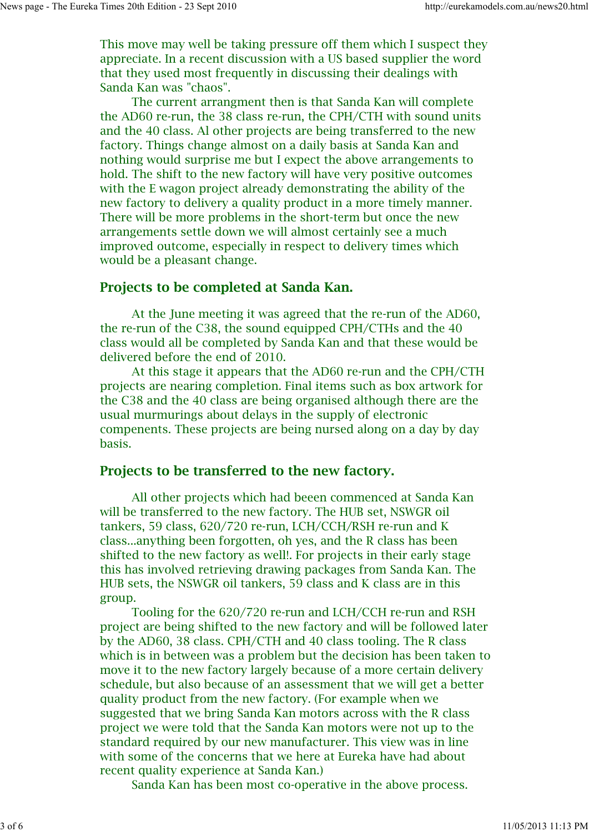This move may well be taking pressure off them which I suspect they appreciate. In a recent discussion with a US based supplier the word that they used most frequently in discussing their dealings with Sanda Kan was "chaos".

 The current arrangment then is that Sanda Kan will complete the AD60 re-run, the 38 class re-run, the CPH/CTH with sound units and the 40 class. Al other projects are being transferred to the new factory. Things change almost on a daily basis at Sanda Kan and nothing would surprise me but I expect the above arrangements to hold. The shift to the new factory will have very positive outcomes with the E wagon project already demonstrating the ability of the new factory to delivery a quality product in a more timely manner. There will be more problems in the short-term but once the new arrangements settle down we will almost certainly see a much improved outcome, especially in respect to delivery times which would be a pleasant change.

#### **Projects to be completed at Sanda Kan.**

 At the June meeting it was agreed that the re-run of the AD60, the re-run of the C38, the sound equipped CPH/CTHs and the 40 class would all be completed by Sanda Kan and that these would be delivered before the end of 2010.

 At this stage it appears that the AD60 re-run and the CPH/CTH projects are nearing completion. Final items such as box artwork for the C38 and the 40 class are being organised although there are the usual murmurings about delays in the supply of electronic compenents. These projects are being nursed along on a day by day basis.

### **Projects to be transferred to the new factory.**

 All other projects which had beeen commenced at Sanda Kan will be transferred to the new factory. The HUB set, NSWGR oil tankers, 59 class, 620/720 re-run, LCH/CCH/RSH re-run and K class...anything been forgotten, oh yes, and the R class has been shifted to the new factory as well!. For projects in their early stage this has involved retrieving drawing packages from Sanda Kan. The HUB sets, the NSWGR oil tankers, 59 class and K class are in this group.

 Tooling for the 620/720 re-run and LCH/CCH re-run and RSH project are being shifted to the new factory and will be followed later by the AD60, 38 class. CPH/CTH and 40 class tooling. The R class which is in between was a problem but the decision has been taken to move it to the new factory largely because of a more certain delivery schedule, but also because of an assessment that we will get a better quality product from the new factory. (For example when we suggested that we bring Sanda Kan motors across with the R class project we were told that the Sanda Kan motors were not up to the standard required by our new manufacturer. This view was in line with some of the concerns that we here at Eureka have had about recent quality experience at Sanda Kan.)

Sanda Kan has been most co-operative in the above process.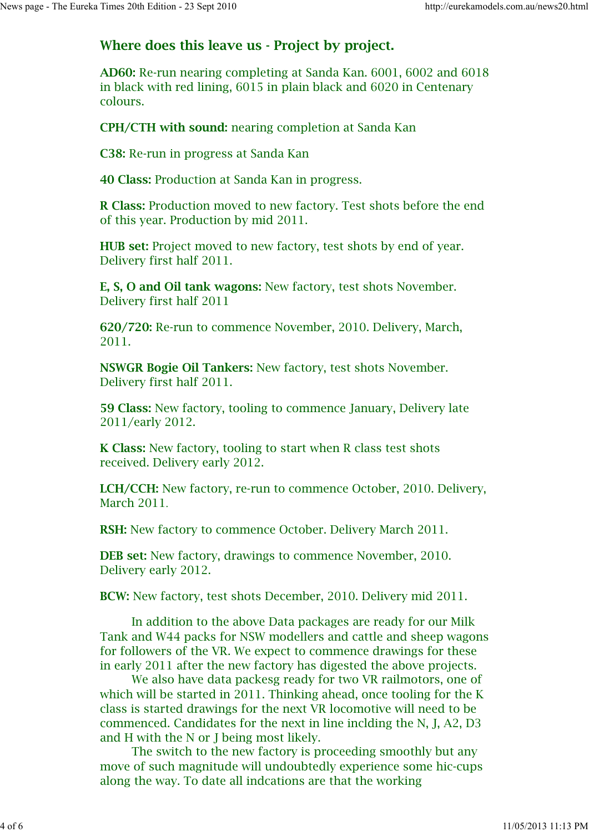## **Where does this leave us - Project by project.**

**AD60:** Re-run nearing completing at Sanda Kan. 6001, 6002 and 6018 in black with red lining, 6015 in plain black and 6020 in Centenary colours.

**CPH/CTH with sound:** nearing completion at Sanda Kan

**C38:** Re-run in progress at Sanda Kan

**40 Class:** Production at Sanda Kan in progress.

**R Class:** Production moved to new factory. Test shots before the end of this year. Production by mid 2011.

**HUB set:** Project moved to new factory, test shots by end of year. Delivery first half 2011.

**E, S, O and Oil tank wagons:** New factory, test shots November. Delivery first half 2011

**620/720:** Re-run to commence November, 2010. Delivery, March, 2011.

**NSWGR Bogie Oil Tankers:** New factory, test shots November. Delivery first half 2011.

**59 Class:** New factory, tooling to commence January, Delivery late 2011/early 2012.

**K Class:** New factory, tooling to start when R class test shots received. Delivery early 2012.

**LCH/CCH:** New factory, re-run to commence October, 2010. Delivery, March 2011.

**RSH:** New factory to commence October. Delivery March 2011.

**DEB set:** New factory, drawings to commence November, 2010. Delivery early 2012.

**BCW:** New factory, test shots December, 2010. Delivery mid 2011.

 In addition to the above Data packages are ready for our Milk Tank and W44 packs for NSW modellers and cattle and sheep wagons for followers of the VR. We expect to commence drawings for these in early 2011 after the new factory has digested the above projects.

 We also have data packesg ready for two VR railmotors, one of which will be started in 2011. Thinking ahead, once tooling for the K class is started drawings for the next VR locomotive will need to be commenced. Candidates for the next in line inclding the N, J, A2, D3 and H with the N or J being most likely.

 The switch to the new factory is proceeding smoothly but any move of such magnitude will undoubtedly experience some hic-cups along the way. To date all indcations are that the working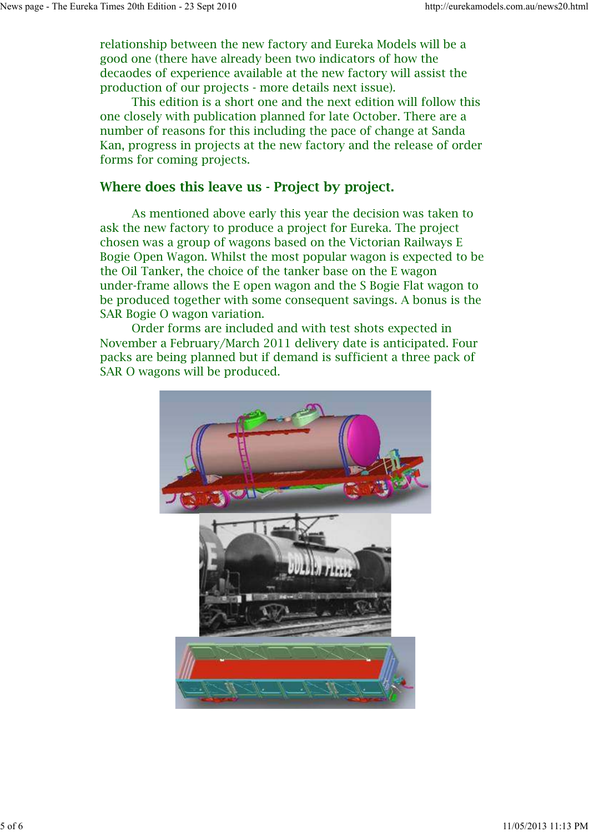relationship between the new factory and Eureka Models will be a good one (there have already been two indicators of how the decaodes of experience available at the new factory will assist the production of our projects - more details next issue).

 This edition is a short one and the next edition will follow this one closely with publication planned for late October. There are a number of reasons for this including the pace of change at Sanda Kan, progress in projects at the new factory and the release of order forms for coming projects.

#### **Where does this leave us - Project by project.**

 As mentioned above early this year the decision was taken to ask the new factory to produce a project for Eureka. The project chosen was a group of wagons based on the Victorian Railways E Bogie Open Wagon. Whilst the most popular wagon is expected to be the Oil Tanker, the choice of the tanker base on the E wagon under-frame allows the E open wagon and the S Bogie Flat wagon to be produced together with some consequent savings. A bonus is the SAR Bogie O wagon variation.

 Order forms are included and with test shots expected in November a February/March 2011 delivery date is anticipated. Four packs are being planned but if demand is sufficient a three pack of SAR O wagons will be produced.